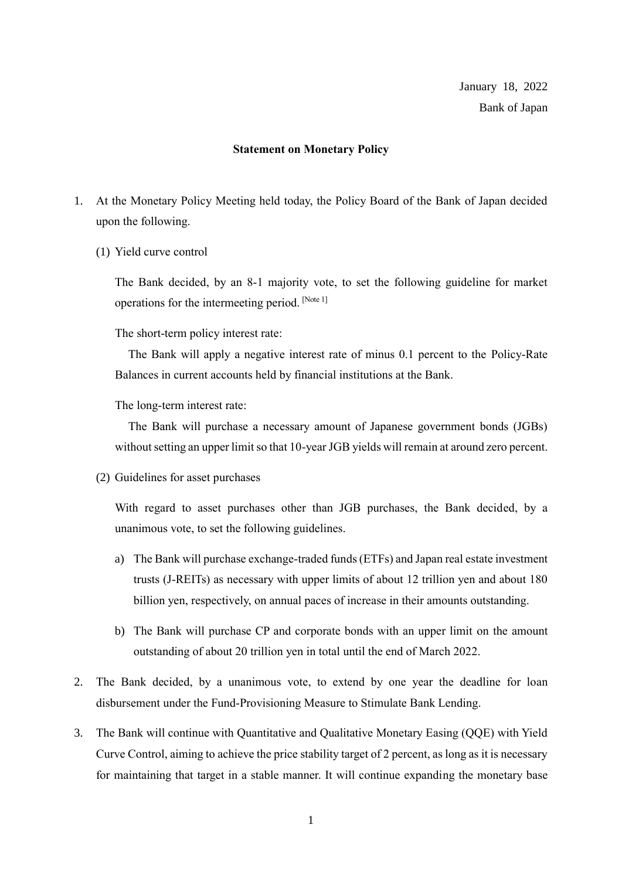## **Statement on Monetary Policy**

- 1. At the Monetary Policy Meeting held today, the Policy Board of the Bank of Japan decided upon the following.
	- (1) Yield curve control

The Bank decided, by an 8-1 majority vote, to set the following guideline for market operations for the intermeeting period. [Note 1]

The short-term policy interest rate:

The Bank will apply a negative interest rate of minus 0.1 percent to the Policy-Rate Balances in current accounts held by financial institutions at the Bank.

The long-term interest rate:

The Bank will purchase a necessary amount of Japanese government bonds (JGBs) without setting an upper limit so that 10-year JGB yields will remain at around zero percent.

(2) Guidelines for asset purchases

With regard to asset purchases other than JGB purchases, the Bank decided, by a unanimous vote, to set the following guidelines.

- a) The Bank will purchase exchange-traded funds (ETFs) and Japan real estate investment trusts (J-REITs) as necessary with upper limits of about 12 trillion yen and about 180 billion yen, respectively, on annual paces of increase in their amounts outstanding.
- b) The Bank will purchase CP and corporate bonds with an upper limit on the amount outstanding of about 20 trillion yen in total until the end of March 2022.
- 2. The Bank decided, by a unanimous vote, to extend by one year the deadline for loan disbursement under the Fund-Provisioning Measure to Stimulate Bank Lending.
- 3. The Bank will continue with Quantitative and Qualitative Monetary Easing (QQE) with Yield Curve Control, aiming to achieve the price stability target of 2 percent, as long as it is necessary for maintaining that target in a stable manner. It will continue expanding the monetary base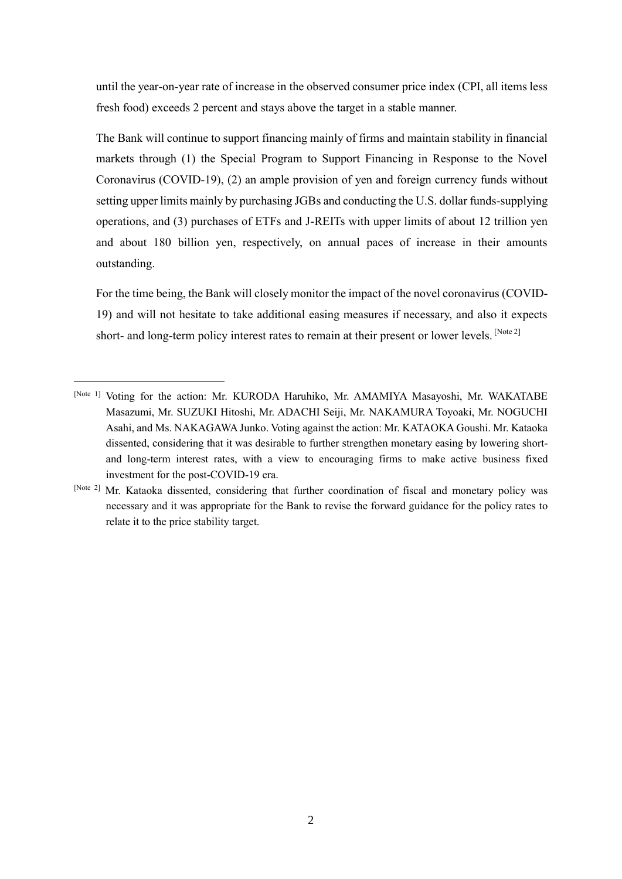until the year-on-year rate of increase in the observed consumer price index (CPI, all items less fresh food) exceeds 2 percent and stays above the target in a stable manner.

The Bank will continue to support financing mainly of firms and maintain stability in financial markets through (1) the Special Program to Support Financing in Response to the Novel Coronavirus (COVID-19), (2) an ample provision of yen and foreign currency funds without setting upper limits mainly by purchasing JGBs and conducting the U.S. dollar funds-supplying operations, and (3) purchases of ETFs and J-REITs with upper limits of about 12 trillion yen and about 180 billion yen, respectively, on annual paces of increase in their amounts outstanding.

For the time being, the Bank will closely monitor the impact of the novel coronavirus (COVID-19) and will not hesitate to take additional easing measures if necessary, and also it expects short- and long-term policy interest rates to remain at their present or lower levels. [Note 2]

<sup>[</sup>Note 1] Voting for the action: Mr. KURODA Haruhiko, Mr. AMAMIYA Masayoshi, Mr. WAKATABE Masazumi, Mr. SUZUKI Hitoshi, Mr. ADACHI Seiji, Mr. NAKAMURA Toyoaki, Mr. NOGUCHI Asahi, and Ms. NAKAGAWA Junko. Voting against the action: Mr. KATAOKA Goushi. Mr. Kataoka dissented, considering that it was desirable to further strengthen monetary easing by lowering shortand long-term interest rates, with a view to encouraging firms to make active business fixed investment for the post-COVID-19 era.

<sup>[</sup>Note 2] Mr. Kataoka dissented, considering that further coordination of fiscal and monetary policy was necessary and it was appropriate for the Bank to revise the forward guidance for the policy rates to relate it to the price stability target.